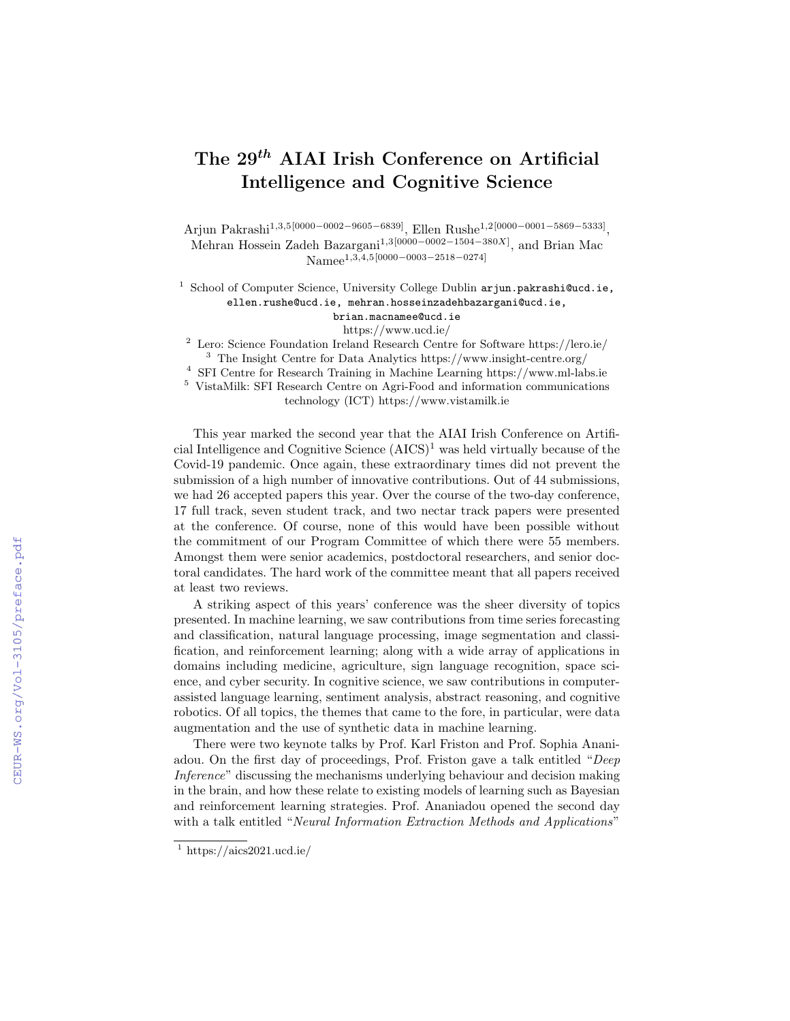# The 29<sup>th</sup> AIAI Irish Conference on Artificial Intelligence and Cognitive Science

Arjun Pakrashi1,3,5[0000−0002−9605−6839], Ellen Rushe1,2[0000−0001−5869−5333] , Mehran Hossein Zadeh Bazargani<sup>1,3[0000–0002–1504–380X]</sup>, and Brian Mac Namee<sup>1,3,4,5</sup>[0000−0003−2518−0274]

<sup>1</sup> School of Computer Science, University College Dublin arjun.pakrashi@ucd.ie, ellen.rushe@ucd.ie, mehran.hosseinzadehbazargani@ucd.ie,

> brian.macnamee@ucd.ie https://www.ucd.ie/

<sup>2</sup> Lero: Science Foundation Ireland Research Centre for Software https://lero.ie/ <sup>3</sup> The Insight Centre for Data Analytics https://www.insight-centre.org/

<sup>4</sup> SFI Centre for Research Training in Machine Learning https://www.ml-labs.ie

 $^5\,$  VistaMilk: SFI Research Centre on Agri-Food and information communications technology (ICT) https://www.vistamilk.ie

This year marked the second year that the AIAI Irish Conference on Artificial Intelligence and Cognitive Science  $(AICS)^1$  was held virtually because of the Covid-19 pandemic. Once again, these extraordinary times did not prevent the submission of a high number of innovative contributions. Out of 44 submissions, we had 26 accepted papers this year. Over the course of the two-day conference, 17 full track, seven student track, and two nectar track papers were presented at the conference. Of course, none of this would have been possible without the commitment of our Program Committee of which there were 55 members. Amongst them were senior academics, postdoctoral researchers, and senior doctoral candidates. The hard work of the committee meant that all papers received at least two reviews.

A striking aspect of this years' conference was the sheer diversity of topics presented. In machine learning, we saw contributions from time series forecasting and classification, natural language processing, image segmentation and classification, and reinforcement learning; along with a wide array of applications in domains including medicine, agriculture, sign language recognition, space science, and cyber security. In cognitive science, we saw contributions in computerassisted language learning, sentiment analysis, abstract reasoning, and cognitive robotics. Of all topics, the themes that came to the fore, in particular, were data augmentation and the use of synthetic data in machine learning.

There were two keynote talks by Prof. Karl Friston and Prof. Sophia Ananiadou. On the first day of proceedings, Prof. Friston gave a talk entitled "Deep Inference" discussing the mechanisms underlying behaviour and decision making in the brain, and how these relate to existing models of learning such as Bayesian and reinforcement learning strategies. Prof. Ananiadou opened the second day with a talk entitled "Neural Information Extraction Methods and Applications"

 $1 \text{ https://aics2021.ucd.ie/}$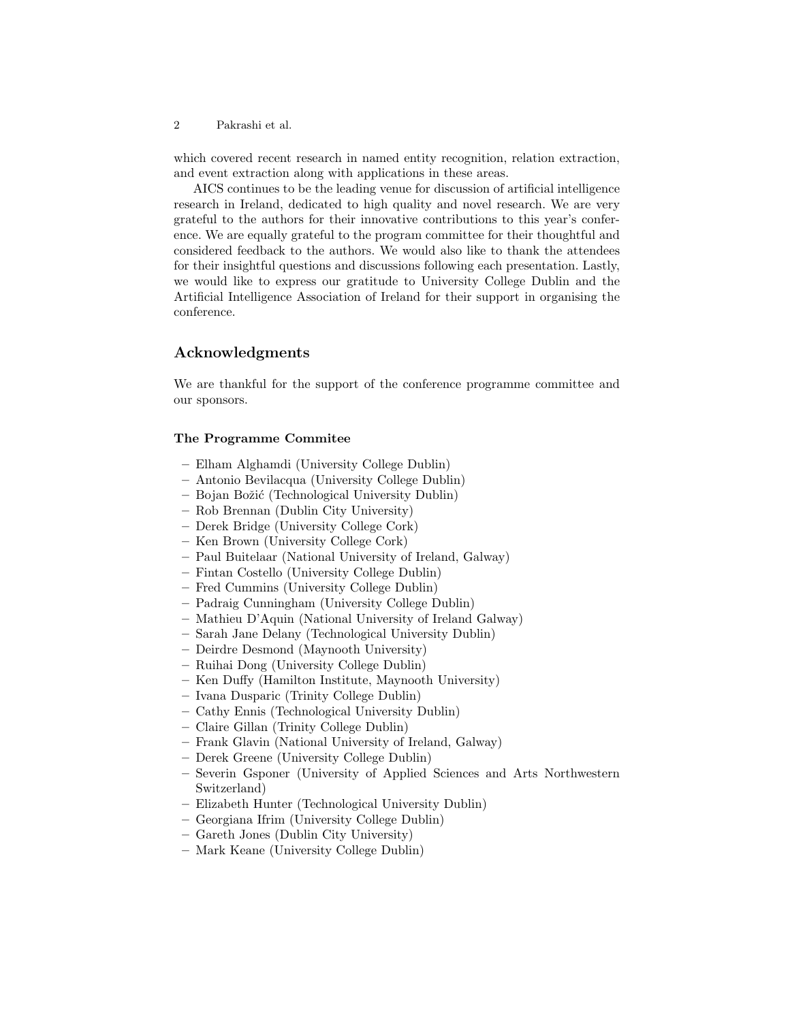2 Pakrashi et al.

which covered recent research in named entity recognition, relation extraction, and event extraction along with applications in these areas.

AICS continues to be the leading venue for discussion of artificial intelligence research in Ireland, dedicated to high quality and novel research. We are very grateful to the authors for their innovative contributions to this year's conference. We are equally grateful to the program committee for their thoughtful and considered feedback to the authors. We would also like to thank the attendees for their insightful questions and discussions following each presentation. Lastly, we would like to express our gratitude to University College Dublin and the Artificial Intelligence Association of Ireland for their support in organising the conference.

## Acknowledgments

We are thankful for the support of the conference programme committee and our sponsors.

#### The Programme Commitee

- Elham Alghamdi (University College Dublin)
- Antonio Bevilacqua (University College Dublin)
- Bojan Boˇzi´c (Technological University Dublin)
- Rob Brennan (Dublin City University)
- Derek Bridge (University College Cork)
- Ken Brown (University College Cork)
- Paul Buitelaar (National University of Ireland, Galway)
- Fintan Costello (University College Dublin)
- Fred Cummins (University College Dublin)
- Padraig Cunningham (University College Dublin)
- Mathieu D'Aquin (National University of Ireland Galway)
- Sarah Jane Delany (Technological University Dublin)
- Deirdre Desmond (Maynooth University)
- Ruihai Dong (University College Dublin)
- Ken Duffy (Hamilton Institute, Maynooth University)
- Ivana Dusparic (Trinity College Dublin)
- Cathy Ennis (Technological University Dublin)
- Claire Gillan (Trinity College Dublin)
- Frank Glavin (National University of Ireland, Galway)
- Derek Greene (University College Dublin)
- Severin Gsponer (University of Applied Sciences and Arts Northwestern Switzerland)
- Elizabeth Hunter (Technological University Dublin)
- Georgiana Ifrim (University College Dublin)
- Gareth Jones (Dublin City University)
- Mark Keane (University College Dublin)